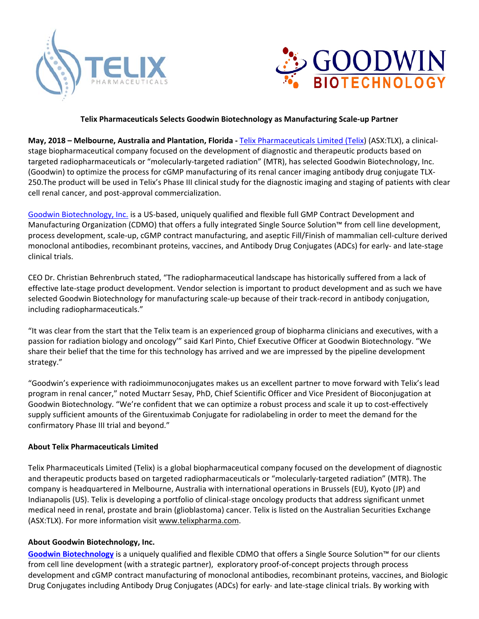



## **Telix Pharmaceuticals Selects Goodwin Biotechnology as Manufacturing Scale‐up Partner**

**May, 2018 – Melbourne, Australia and Plantation, Florida - Telix Pharmaceuticals Limited (Telix) (ASX:TLX), a clinical**stage biopharmaceutical company focused on the development of diagnostic and therapeutic products based on targeted radiopharmaceuticals or "molecularly-targeted radiation" (MTR), has selected Goodwin Biotechnology, Inc. (Goodwin) to optimize the process for cGMP manufacturing of its renal cancer imaging antibody drug conjugate TLX‐ 250.The product will be used in Telix's Phase III clinical study for the diagnostic imaging and staging of patients with clear cell renal cancer, and post‐approval commercialization.

Goodwin Biotechnology, Inc. is a US‐based, uniquely qualified and flexible full GMP Contract Development and Manufacturing Organization (CDMO) that offers a fully integrated Single Source Solution™ from cell line development, process development, scale‐up, cGMP contract manufacturing, and aseptic Fill/Finish of mammalian cell‐culture derived monoclonal antibodies, recombinant proteins, vaccines, and Antibody Drug Conjugates (ADCs) for early‐ and late‐stage clinical trials.

CEO Dr. Christian Behrenbruch stated, "The radiopharmaceutical landscape has historically suffered from a lack of effective late‐stage product development. Vendor selection is important to product development and as such we have selected Goodwin Biotechnology for manufacturing scale‐up because of their track‐record in antibody conjugation, including radiopharmaceuticals."

"It was clear from the start that the Telix team is an experienced group of biopharma clinicians and executives, with a passion for radiation biology and oncology'" said Karl Pinto, Chief Executive Officer at Goodwin Biotechnology. "We share their belief that the time for this technology has arrived and we are impressed by the pipeline development strategy."

"Goodwin's experience with radioimmunoconjugates makes us an excellent partner to move forward with Telix's lead program in renal cancer," noted Muctarr Sesay, PhD, Chief Scientific Officer and Vice President of Bioconjugation at Goodwin Biotechnology. "We're confident that we can optimize a robust process and scale it up to cost‐effectively supply sufficient amounts of the Girentuximab Conjugate for radiolabeling in order to meet the demand for the confirmatory Phase III trial and beyond."

## **About Telix Pharmaceuticals Limited**

Telix Pharmaceuticals Limited (Telix) is a global biopharmaceutical company focused on the development of diagnostic and therapeutic products based on targeted radiopharmaceuticals or "molecularly‐targeted radiation" (MTR). The company is headquartered in Melbourne, Australia with international operations in Brussels (EU), Kyoto (JP) and Indianapolis (US). Telix is developing a portfolio of clinical‐stage oncology products that address significant unmet medical need in renal, prostate and brain (glioblastoma) cancer. Telix is listed on the Australian Securities Exchange (ASX:TLX). For more information visit www.telixpharma.com.

## **About Goodwin Biotechnology, Inc.**

**Goodwin Biotechnology** is a uniquely qualified and flexible CDMO that offers a Single Source Solution™ for our clients from cell line development (with a strategic partner), exploratory proof-of-concept projects through process development and cGMP contract manufacturing of monoclonal antibodies, recombinant proteins, vaccines, and Biologic Drug Conjugates including Antibody Drug Conjugates (ADCs) for early‐ and late‐stage clinical trials. By working with